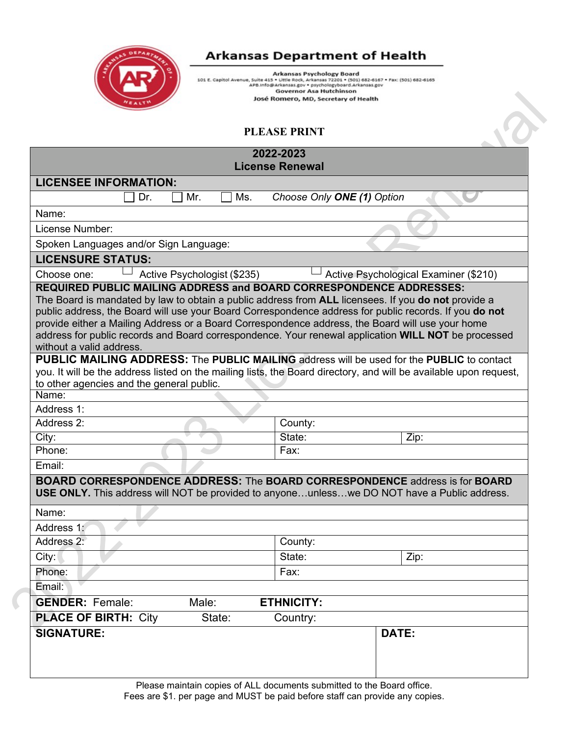

## **Arkansas Department of Health**

Arkansas Psychology Board<br>101 E. Capitol Avenue, Suite 415 • Little Rock, Arkansas 72201 • (501) 682-6167 • Fax: (501) 682-6165<br>APB.Info@Arkansas.gov<br>Governor Asa Hutchinson<br>Governor Asa Hutchinson José Romero, MD, Secretary of Health

## **PLEASE PRINT**

| 2022-2023<br><b>License Renewal</b>                                                                                                                                                                                                                                                                                                                                                                                                                                                                                                |                                       |  |  |  |
|------------------------------------------------------------------------------------------------------------------------------------------------------------------------------------------------------------------------------------------------------------------------------------------------------------------------------------------------------------------------------------------------------------------------------------------------------------------------------------------------------------------------------------|---------------------------------------|--|--|--|
| <b>LICENSEE INFORMATION:</b>                                                                                                                                                                                                                                                                                                                                                                                                                                                                                                       |                                       |  |  |  |
| Dr.<br>Mr.<br>Ms.                                                                                                                                                                                                                                                                                                                                                                                                                                                                                                                  | Choose Only ONE (1) Option            |  |  |  |
| Name:                                                                                                                                                                                                                                                                                                                                                                                                                                                                                                                              |                                       |  |  |  |
| License Number:                                                                                                                                                                                                                                                                                                                                                                                                                                                                                                                    |                                       |  |  |  |
| Spoken Languages and/or Sign Language:                                                                                                                                                                                                                                                                                                                                                                                                                                                                                             |                                       |  |  |  |
| <b>LICENSURE STATUS:</b>                                                                                                                                                                                                                                                                                                                                                                                                                                                                                                           |                                       |  |  |  |
| Active Psychologist (\$235)<br>Choose one:                                                                                                                                                                                                                                                                                                                                                                                                                                                                                         | Active Psychological Examiner (\$210) |  |  |  |
| <b>REQUIRED PUBLIC MAILING ADDRESS and BOARD CORRESPONDENCE ADDRESSES:</b><br>The Board is mandated by law to obtain a public address from ALL licensees. If you do not provide a<br>public address, the Board will use your Board Correspondence address for public records. If you do not<br>provide either a Mailing Address or a Board Correspondence address, the Board will use your home<br>address for public records and Board correspondence. Your renewal application WILL NOT be processed<br>without a valid address. |                                       |  |  |  |
| <b>PUBLIC MAILING ADDRESS: The PUBLIC MAILING address will be used for the PUBLIC to contact</b><br>you. It will be the address listed on the mailing lists, the Board directory, and will be available upon request,<br>to other agencies and the general public.<br>Name:                                                                                                                                                                                                                                                        |                                       |  |  |  |
| Address 1:                                                                                                                                                                                                                                                                                                                                                                                                                                                                                                                         |                                       |  |  |  |
| Address 2:                                                                                                                                                                                                                                                                                                                                                                                                                                                                                                                         | County:                               |  |  |  |
| City:                                                                                                                                                                                                                                                                                                                                                                                                                                                                                                                              | State:<br>Zip:                        |  |  |  |
| Phone:                                                                                                                                                                                                                                                                                                                                                                                                                                                                                                                             | Fax:                                  |  |  |  |
| Email:                                                                                                                                                                                                                                                                                                                                                                                                                                                                                                                             |                                       |  |  |  |
| <b>BOARD CORRESPONDENCE ADDRESS: The BOARD CORRESPONDENCE address is for BOARD</b><br>USE ONLY. This address will NOT be provided to anyoneunlesswe DO NOT have a Public address.                                                                                                                                                                                                                                                                                                                                                  |                                       |  |  |  |
| Name:                                                                                                                                                                                                                                                                                                                                                                                                                                                                                                                              |                                       |  |  |  |
| Address 1:                                                                                                                                                                                                                                                                                                                                                                                                                                                                                                                         |                                       |  |  |  |
| Address 2:                                                                                                                                                                                                                                                                                                                                                                                                                                                                                                                         | County:                               |  |  |  |
| City:                                                                                                                                                                                                                                                                                                                                                                                                                                                                                                                              | State:<br>Zip:                        |  |  |  |
| Phone:                                                                                                                                                                                                                                                                                                                                                                                                                                                                                                                             | Fax:                                  |  |  |  |
| Email:                                                                                                                                                                                                                                                                                                                                                                                                                                                                                                                             |                                       |  |  |  |
| <b>GENDER: Female:</b><br><b>ETHNICITY:</b><br>Male:                                                                                                                                                                                                                                                                                                                                                                                                                                                                               |                                       |  |  |  |
| <b>PLACE OF BIRTH: City</b><br>State:                                                                                                                                                                                                                                                                                                                                                                                                                                                                                              | Country:                              |  |  |  |
| <b>SIGNATURE:</b>                                                                                                                                                                                                                                                                                                                                                                                                                                                                                                                  | DATE:                                 |  |  |  |

Please maintain copies of ALL documents submitted to the Board office. Fees are \$1. per page and MUST be paid before staff can provide any copies.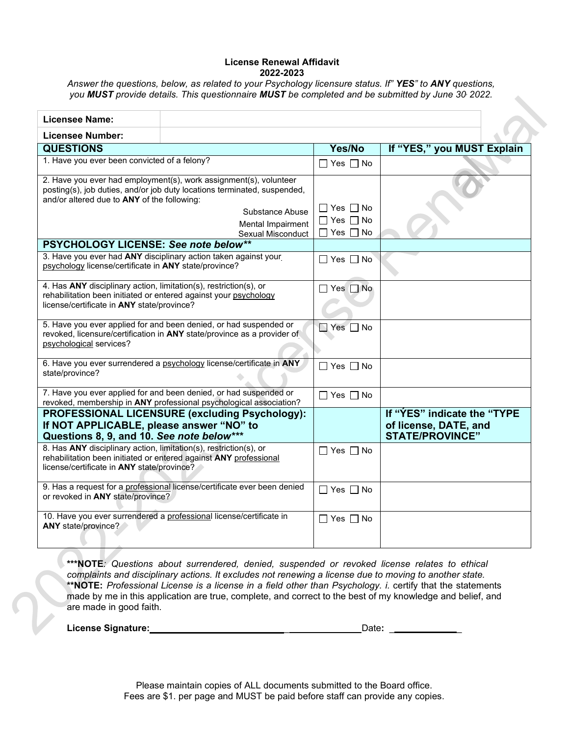#### **License Renewal Affidavit 2022-2023**

*Answer the questions, below, as related to your Psychology licensure status. If" YES" to ANY questions, you MUST provide details. This questionnaire MUST be completed and be submitted by June 30, 2022.*

| <b>Licensee Name:</b>                                                                                                                                                               |                                                                                                                                                                                                            |                                                            |                                                                                |
|-------------------------------------------------------------------------------------------------------------------------------------------------------------------------------------|------------------------------------------------------------------------------------------------------------------------------------------------------------------------------------------------------------|------------------------------------------------------------|--------------------------------------------------------------------------------|
| Licensee Number:                                                                                                                                                                    |                                                                                                                                                                                                            |                                                            |                                                                                |
| <b>QUESTIONS</b>                                                                                                                                                                    |                                                                                                                                                                                                            | Yes/No                                                     | If "YES," you MUST Explain                                                     |
| 1. Have you ever been convicted of a felony?                                                                                                                                        |                                                                                                                                                                                                            | $\Box$ Yes $\Box$ No                                       |                                                                                |
| and/or altered due to ANY of the following:                                                                                                                                         | 2. Have you ever had employment(s), work assignment(s), volunteer<br>posting(s), job duties, and/or job duty locations terminated, suspended,<br>Substance Abuse<br>Mental Impairment<br>Sexual Misconduct | □ Yes □ No<br>$\Box$ Yes $\Box$ No<br>$\Box$ Yes $\Box$ No |                                                                                |
| PSYCHOLOGY LICENSE: See note below**                                                                                                                                                |                                                                                                                                                                                                            |                                                            |                                                                                |
| psychology license/certificate in ANY state/province?                                                                                                                               | 3. Have you ever had ANY disciplinary action taken against your                                                                                                                                            | $\Box$ Yes $\Box$ No                                       |                                                                                |
| 4. Has ANY disciplinary action, limitation(s), restriction(s), or<br>rehabilitation been initiated or entered against your psychology<br>license/certificate in ANY state/province? |                                                                                                                                                                                                            | $\Box$ Yes $\Box$ No                                       |                                                                                |
| psychological services?                                                                                                                                                             | 5. Have you ever applied for and been denied, or had suspended or<br>revoked, licensure/certification in ANY state/province as a provider of                                                               | $\Box$ Yes $\Box$ No                                       |                                                                                |
| state/province?                                                                                                                                                                     | 6. Have you ever surrendered a psychology license/certificate in ANY                                                                                                                                       | $\Box$ Yes $\Box$ No                                       |                                                                                |
|                                                                                                                                                                                     | 7. Have you ever applied for and been denied, or had suspended or<br>revoked, membership in ANY professional psychological association?                                                                    | $\Box$ Yes $\Box$ No                                       |                                                                                |
| If NOT APPLICABLE, please answer "NO" to<br>Questions 8, 9, and 10. See note below***                                                                                               | PROFESSIONAL LICENSURE (excluding Psychology):                                                                                                                                                             |                                                            | If "YES" indicate the "TYPE<br>of license, DATE, and<br><b>STATE/PROVINCE"</b> |
| 8. Has ANY disciplinary action, limitation(s), restriction(s), or<br>license/certificate in ANY state/province?                                                                     | rehabilitation been initiated or entered against ANY professional                                                                                                                                          | $\Box$ Yes $\Box$ No                                       |                                                                                |
| or revoked in ANY state/province?                                                                                                                                                   | 9. Has a request for a professional license/certificate ever been denied                                                                                                                                   | $\Box$ Yes $\Box$ No                                       |                                                                                |
| ANY state/province?                                                                                                                                                                 | 10. Have you ever surrendered a professional license/certificate in                                                                                                                                        | l IYes IINo                                                |                                                                                |

**\*\*\*NOTE***: Questions about surrendered, denied, suspended or revoked license relates to ethical complaints and disciplinary actions. It excludes not renewing a license due to moving to another state.* **\*\*NOTE:** *Professional License is a license in a field other than Psychology. i.* certify that the statements made by me in this application are true, complete, and correct to the best of my knowledge and belief, and are made in good faith.

**License Signature:** 

| lota - | Jalu. |  |
|--------|-------|--|

Please maintain copies of ALL documents submitted to the Board office. Fees are \$1. per page and MUST be paid before staff can provide any copies.